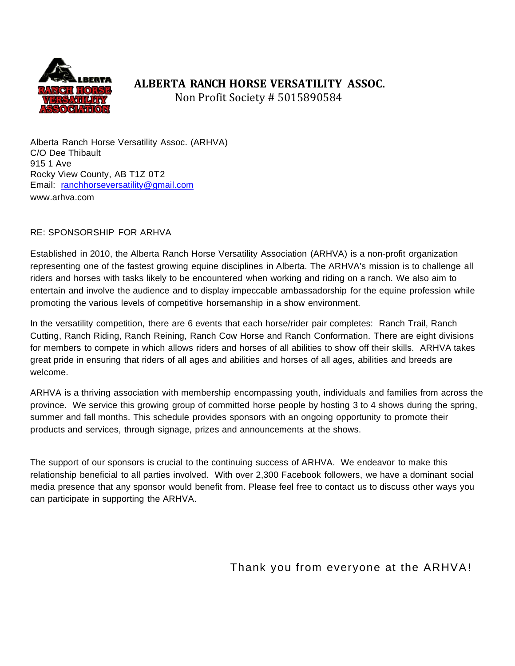

# **ALBERTA RANCH HORSE VERSATILITY ASSOC.**

Non Profit Society # 5015890584

Alberta Ranch Horse Versatility Assoc. (ARHVA) C/O Dee Thibault 915 1 Ave Rocky View County, AB T1Z 0T2 Email: [ranchhorseversatility@gmail.com](mailto:ranchhorseversatility@gmail.com) [www.arhva.com](http://www.arhva.com/)

#### RE: SPONSORSHIP FOR ARHVA

Established in 2010, the Alberta Ranch Horse Versatility Association (ARHVA) is a non-profit organization representing one of the fastest growing equine disciplines in Alberta. The ARHVA's mission is to challenge all riders and horses with tasks likely to be encountered when working and riding on a ranch. We also aim to entertain and involve the audience and to display impeccable ambassadorship for the equine profession while promoting the various levels of competitive horsemanship in a show environment.

In the versatility competition, there are 6 events that each horse/rider pair completes: Ranch Trail, Ranch Cutting, Ranch Riding, Ranch Reining, Ranch Cow Horse and Ranch Conformation. There are eight divisions for members to compete in which allows riders and horses of all abilities to show off their skills. ARHVA takes great pride in ensuring that riders of all ages and abilities and horses of all ages, abilities and breeds are welcome.

ARHVA is a thriving association with membership encompassing youth, individuals and families from across the province. We service this growing group of committed horse people by hosting 3 to 4 shows during the spring, summer and fall months. This schedule provides sponsors with an ongoing opportunity to promote their products and services, through signage, prizes and announcements at the shows.

The support of our sponsors is crucial to the continuing success of ARHVA. We endeavor to make this relationship beneficial to all parties involved. With over 2,300 Facebook followers, we have a dominant social media presence that any sponsor would benefit from. Please feel free to contact us to discuss other ways you can participate in supporting the ARHVA.

Thank you from everyone at the ARHVA!